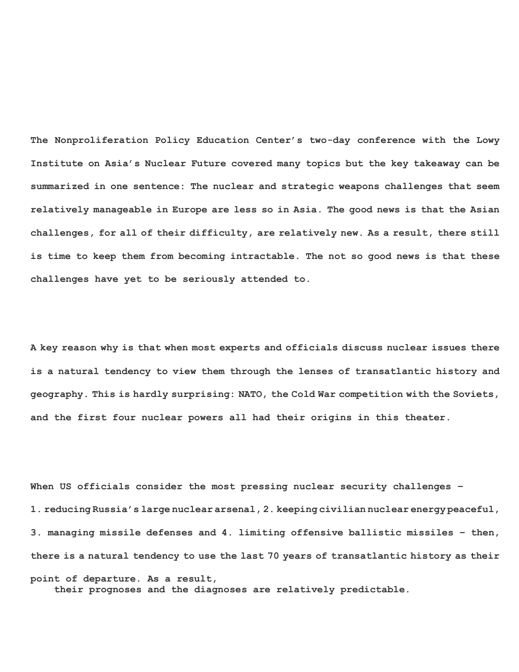**The Nonproliferation Policy Education Center's two-day conference with the Lowy Institute on Asia's Nuclear Future covered many topics but the key takeaway can be summarized in one sentence: The nuclear and strategic weapons challenges that seem relatively manageable in Europe are less so in Asia. The good news is that the Asian challenges, for all of their difficulty, are relatively new. As a result, there still is time to keep them from becoming intractable. The not so good news is that these challenges have yet to be seriously attended to.** 

**A key reason why is that when most experts and officials discuss nuclear issues there is a natural tendency to view them through the lenses of transatlantic history and geography. This is hardly surprising: NATO, the Cold War competition with the Soviets, and the first four nuclear powers all had their origins in this theater.** 

**When US officials consider the most pressing nuclear security challenges – 1. reducing Russia's large nuclear arsenal, 2. keeping civilian nuclear energy peaceful, 3. managing missile defenses and 4. limiting offensive ballistic missiles – then, there is a natural tendency to use the last 70 years of transatlantic history as their point of departure. As a result, their prognoses and the diagnoses are relatively predictable.**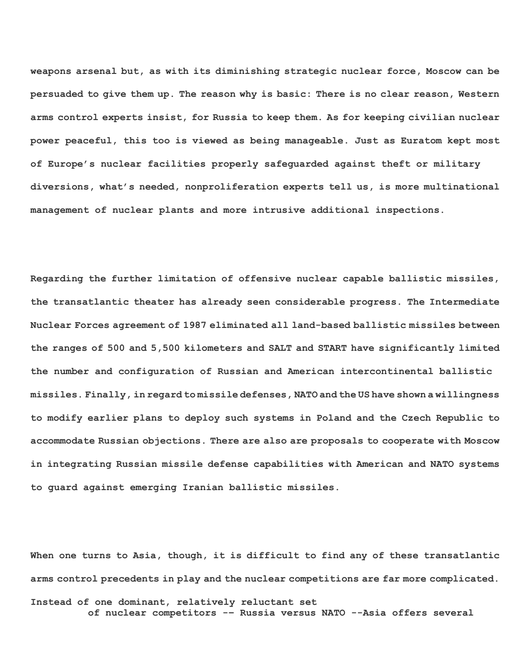**weapons arsenal but, as with its diminishing strategic nuclear force, Moscow can be persuaded to give them up. The reason why is basic: There is no clear reason, Western arms control experts insist, for Russia to keep them. As for keeping civilian nuclear power peaceful, this too is viewed as being manageable. Just as Euratom kept most of Europe's nuclear facilities properly safeguarded against theft or military diversions, what's needed, nonproliferation experts tell us, is more multinational management of nuclear plants and more intrusive additional inspections.** 

**Regarding the further limitation of offensive nuclear capable ballistic missiles, the transatlantic theater has already seen considerable progress. The Intermediate Nuclear Forces agreement of 1987 eliminated all land-based ballistic missiles between the ranges of 500 and 5,500 kilometers and SALT and START have significantly limited the number and configuration of Russian and American intercontinental ballistic missiles. Finally, in regard to missile defenses, NATO and the US have shown a willingness to modify earlier plans to deploy such systems in Poland and the Czech Republic to accommodate Russian objections. There are also are proposals to cooperate with Moscow in integrating Russian missile defense capabilities with American and NATO systems to guard against emerging Iranian ballistic missiles.** 

**When one turns to Asia, though, it is difficult to find any of these transatlantic arms control precedents in play and the nuclear competitions are far more complicated. Instead of one dominant, relatively reluctant set** 

**of nuclear competitors -– Russia versus NATO --Asia offers several**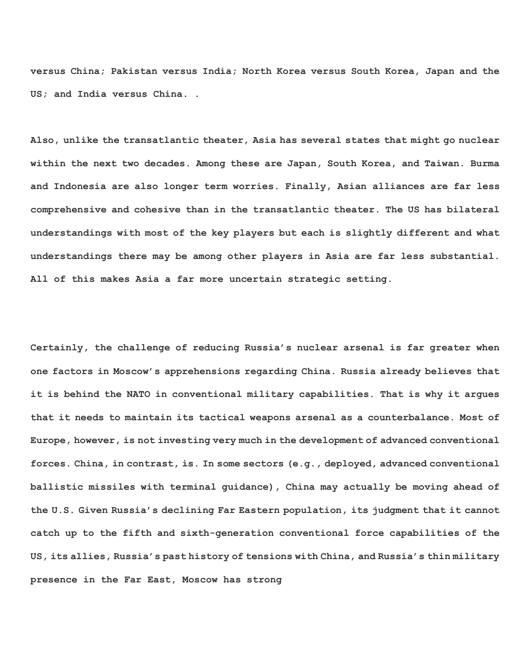**versus China; Pakistan versus India; North Korea versus South Korea, Japan and the US; and India versus China. .** 

**Also, unlike the transatlantic theater, Asia has several states that might go nuclear within the next two decades. Among these are Japan, South Korea, and Taiwan. Burma and Indonesia are also longer term worries. Finally, Asian alliances are far less comprehensive and cohesive than in the transatlantic theater. The US has bilateral understandings with most of the key players but each is slightly different and what understandings there may be among other players in Asia are far less substantial. All of this makes Asia a far more uncertain strategic setting.** 

**Certainly, the challenge of reducing Russia's nuclear arsenal is far greater when one factors in Moscow's apprehensions regarding China. Russia already believes that it is behind the NATO in conventional military capabilities. That is why it argues that it needs to maintain its tactical weapons arsenal as a counterbalance. Most of Europe, however, is not investing very much in the development of advanced conventional forces. China, in contrast, is. In some sectors (e.g., deployed, advanced conventional ballistic missiles with terminal guidance), China may actually be moving ahead of the U.S. Given Russia's declining Far Eastern population, its judgment that it cannot catch up to the fifth and sixth-generation conventional force capabilities of the US, its allies, Russia's past history of tensions with China, and Russia's thin military presence in the Far East, Moscow has strong**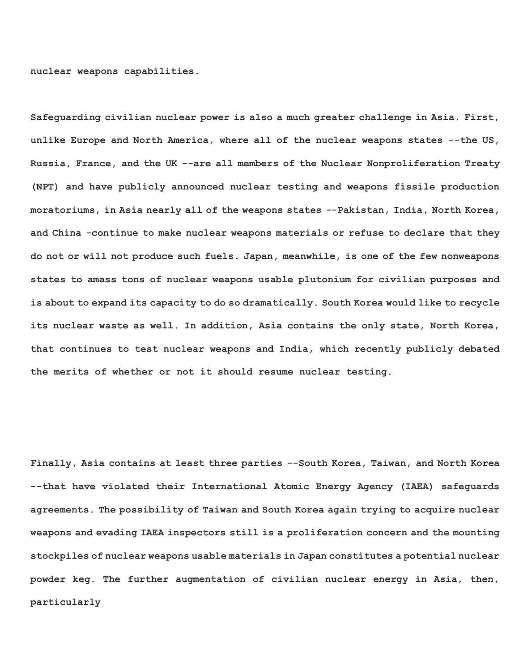**nuclear weapons capabilities.** 

**Safeguarding civilian nuclear power is also a much greater challenge in Asia. First, unlike Europe and North America, where all of the nuclear weapons states --the US, Russia, France, and the UK --are all members of the Nuclear Nonproliferation Treaty (NPT) and have publicly announced nuclear testing and weapons fissile production moratoriums, in Asia nearly all of the weapons states --Pakistan, India, North Korea, and China -continue to make nuclear weapons materials or refuse to declare that they do not or will not produce such fuels. Japan, meanwhile, is one of the few nonweapons states to amass tons of nuclear weapons usable plutonium for civilian purposes and is about to expand its capacity to do so dramatically. South Korea would like to recycle its nuclear waste as well. In addition, Asia contains the only state, North Korea, that continues to test nuclear weapons and India, which recently publicly debated the merits of whether or not it should resume nuclear testing.** 

**Finally, Asia contains at least three parties --South Korea, Taiwan, and North Korea --that have violated their International Atomic Energy Agency (IAEA) safeguards agreements. The possibility of Taiwan and South Korea again trying to acquire nuclear weapons and evading IAEA inspectors still is a proliferation concern and the mounting stockpiles of nuclear weapons usable materials in Japan constitutes a potential nuclear powder keg. The further augmentation of civilian nuclear energy in Asia, then, particularly**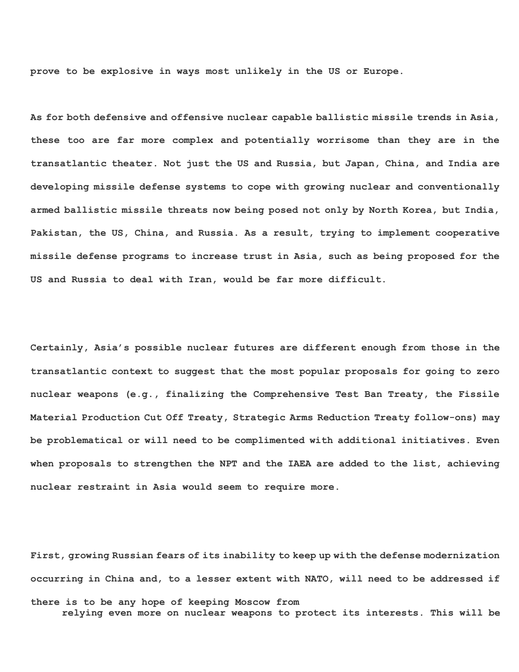**prove to be explosive in ways most unlikely in the US or Europe.** 

**As for both defensive and offensive nuclear capable ballistic missile trends in Asia, these too are far more complex and potentially worrisome than they are in the transatlantic theater. Not just the US and Russia, but Japan, China, and India are developing missile defense systems to cope with growing nuclear and conventionally armed ballistic missile threats now being posed not only by North Korea, but India, Pakistan, the US, China, and Russia. As a result, trying to implement cooperative missile defense programs to increase trust in Asia, such as being proposed for the US and Russia to deal with Iran, would be far more difficult.** 

**Certainly, Asia's possible nuclear futures are different enough from those in the transatlantic context to suggest that the most popular proposals for going to zero nuclear weapons (e.g., finalizing the Comprehensive Test Ban Treaty, the Fissile Material Production Cut Off Treaty, Strategic Arms Reduction Treaty follow-ons) may be problematical or will need to be complimented with additional initiatives. Even when proposals to strengthen the NPT and the IAEA are added to the list, achieving nuclear restraint in Asia would seem to require more.** 

**First, growing Russian fears of its inability to keep up with the defense modernization occurring in China and, to a lesser extent with NATO, will need to be addressed if there is to be any hope of keeping Moscow from relying even more on nuclear weapons to protect its interests. This will be**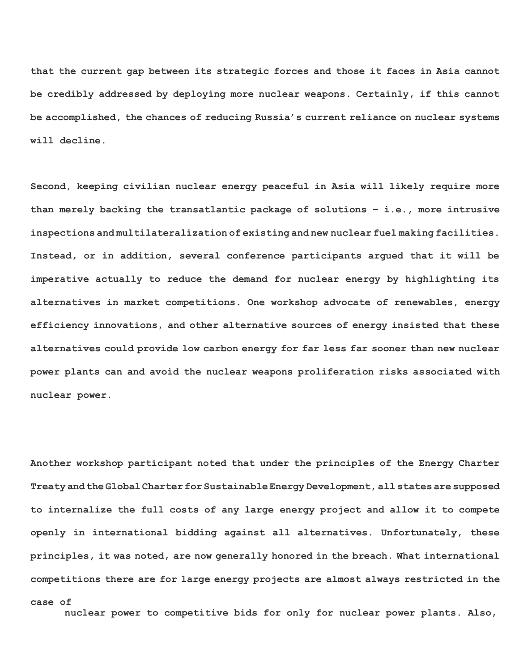**that the current gap between its strategic forces and those it faces in Asia cannot be credibly addressed by deploying more nuclear weapons. Certainly, if this cannot be accomplished, the chances of reducing Russia's current reliance on nuclear systems will decline.** 

**Second, keeping civilian nuclear energy peaceful in Asia will likely require more than merely backing the transatlantic package of solutions – i.e., more intrusive inspections and multilateralization of existing and new nuclear fuel making facilities. Instead, or in addition, several conference participants argued that it will be imperative actually to reduce the demand for nuclear energy by highlighting its alternatives in market competitions. One workshop advocate of renewables, energy efficiency innovations, and other alternative sources of energy insisted that these alternatives could provide low carbon energy for far less far sooner than new nuclear power plants can and avoid the nuclear weapons proliferation risks associated with nuclear power.** 

**Another workshop participant noted that under the principles of the Energy Charter Treaty and the Global Charter for Sustainable Energy Development, all states are supposed to internalize the full costs of any large energy project and allow it to compete openly in international bidding against all alternatives. Unfortunately, these principles, it was noted, are now generally honored in the breach. What international competitions there are for large energy projects are almost always restricted in the** 

```
case of
```
**nuclear power to competitive bids for only for nuclear power plants. Also,**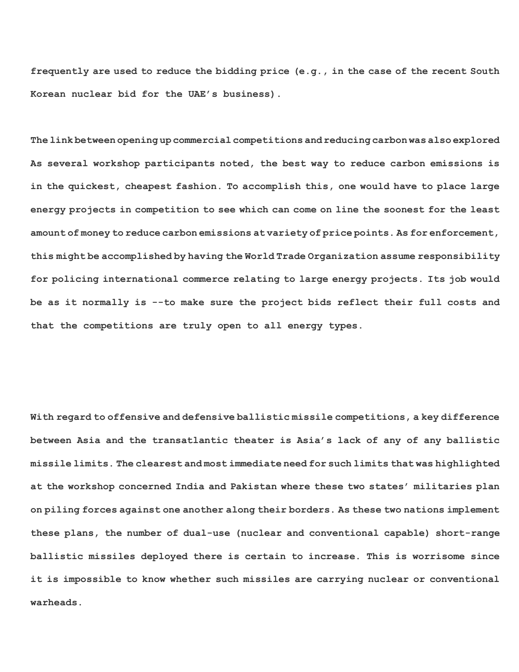**frequently are used to reduce the bidding price (e.g., in the case of the recent South Korean nuclear bid for the UAE's business).** 

**The link between opening up commercial competitions and reducing carbon was also explored. As several workshop participants noted, the best way to reduce carbon emissions is in the quickest, cheapest fashion. To accomplish this, one would have to place large energy projects in competition to see which can come on line the soonest for the least amount of money to reduce carbon emissions at variety of price points. As for enforcement, this might be accomplished by having the World Trade Organization assume responsibility for policing international commerce relating to large energy projects. Its job would be as it normally is --to make sure the project bids reflect their full costs and that the competitions are truly open to all energy types.** 

**With regard to offensive and defensive ballistic missile competitions, a key difference between Asia and the transatlantic theater is Asia's lack of any of any ballistic missile limits. The clearest and most immediate need for such limits that was highlighted at the workshop concerned India and Pakistan where these two states' militaries plan on piling forces against one another along their borders. As these two nations implement these plans, the number of dual-use (nuclear and conventional capable) short-range ballistic missiles deployed there is certain to increase. This is worrisome since it is impossible to know whether such missiles are carrying nuclear or conventional warheads.**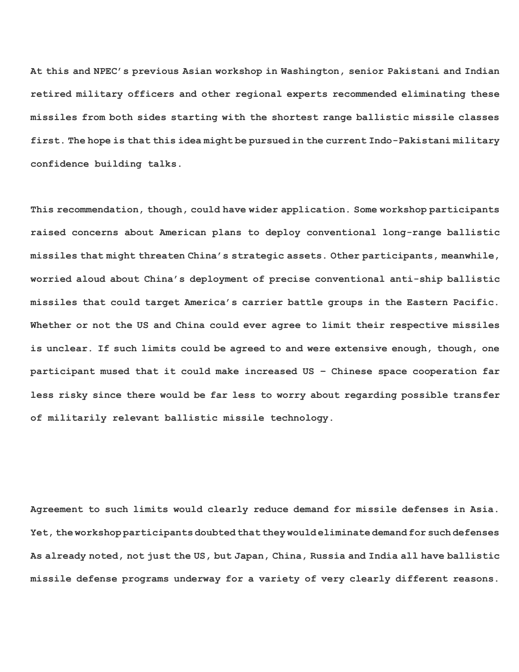**At this and NPEC's previous Asian workshop in Washington, senior Pakistani and Indian retired military officers and other regional experts recommended eliminating these missiles from both sides starting with the shortest range ballistic missile classes first. The hope is that this idea might be pursued in the current Indo-Pakistani military confidence building talks.** 

**This recommendation, though, could have wider application. Some workshop participants raised concerns about American plans to deploy conventional long-range ballistic missiles that might threaten China's strategic assets. Other participants, meanwhile, worried aloud about China's deployment of precise conventional anti-ship ballistic missiles that could target America's carrier battle groups in the Eastern Pacific. Whether or not the US and China could ever agree to limit their respective missiles is unclear. If such limits could be agreed to and were extensive enough, though, one participant mused that it could make increased US – Chinese space cooperation far less risky since there would be far less to worry about regarding possible transfer of militarily relevant ballistic missile technology.** 

**Agreement to such limits would clearly reduce demand for missile defenses in Asia. Yet, the workshop participants doubted that they would eliminate demand for such defenses. As already noted, not just the US, but Japan, China, Russia and India all have ballistic missile defense programs underway for a variety of very clearly different reasons.**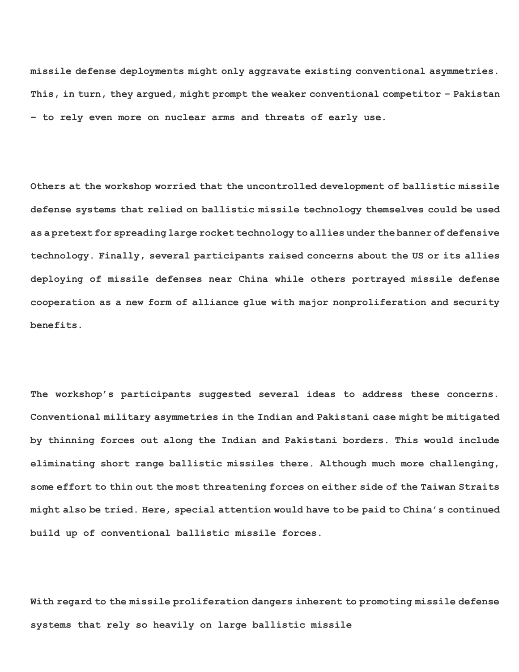**missile defense deployments might only aggravate existing conventional asymmetries. This, in turn, they argued, might prompt the weaker conventional competitor – Pakistan – to rely even more on nuclear arms and threats of early use.** 

**Others at the workshop worried that the uncontrolled development of ballistic missile defense systems that relied on ballistic missile technology themselves could be used as a pretext for spreading large rocket technology to allies under the banner of defensive technology. Finally, several participants raised concerns about the US or its allies deploying of missile defenses near China while others portrayed missile defense cooperation as a new form of alliance glue with major nonproliferation and security benefits.** 

**The workshop's participants suggested several ideas to address these concerns. Conventional military asymmetries in the Indian and Pakistani case might be mitigated by thinning forces out along the Indian and Pakistani borders. This would include eliminating short range ballistic missiles there. Although much more challenging, some effort to thin out the most threatening forces on either side of the Taiwan Straits might also be tried. Here, special attention would have to be paid to China's continued build up of conventional ballistic missile forces.** 

**With regard to the missile proliferation dangers inherent to promoting missile defense systems that rely so heavily on large ballistic missile**